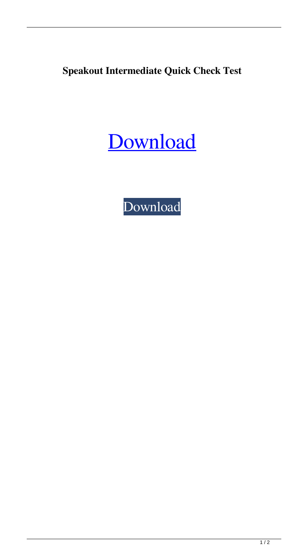**Speakout Intermediate Quick Check Test**

## [Download](http://evacdir.com/ZG93bmxvYWR8YTJzTjNwd2ZId3hOalV5TnpRd09EWTJmSHd5TlRjMGZId29UU2tnY21WaFpDMWliRzluSUZ0R1lYTjBJRWRGVGww/hypnagogic.lairweb/jenas/nevada.U3BlYWtvdXQgSW50ZXJtZWRpYXRlIFF1aWNrIGNoZWNrIHRlc3QU3B/)